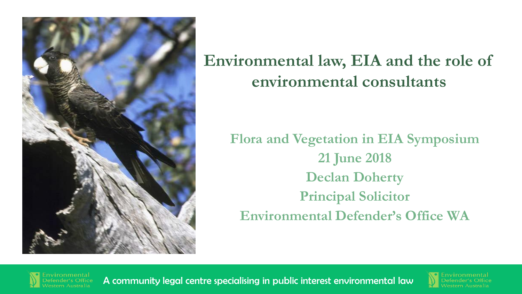

#### **Environmental law, EIA and the role of environmental consultants**

**Flora and Vegetation in EIA Symposium 21 June 2018 Declan Doherty Principal Solicitor Environmental Defender's Office WA**



vironmental<br>fender's Office **A community legal centre specialising in public interest environmental law** 

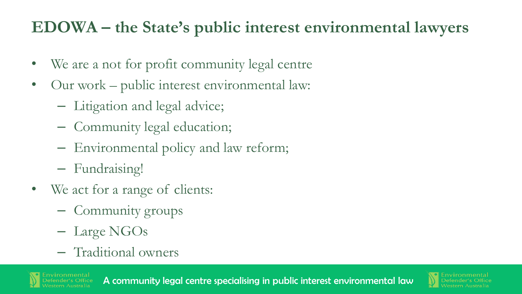#### **EDOWA – the State's public interest environmental lawyers**

- We are a not for profit community legal centre
- Our work public interest environmental law:
	- Litigation and legal advice;
	- Community legal education;
	- Environmental policy and law reform;
	- Fundraising!
- We act for a range of clients:
	- Community groups
	- Large NGOs
	- Traditional owners

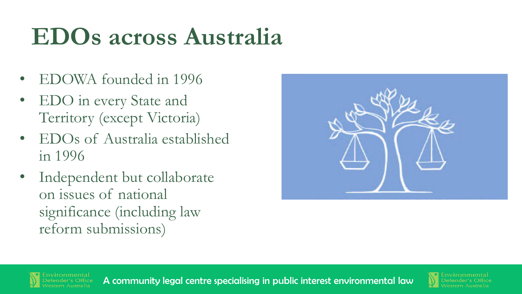# **EDOs across Australia**

- EDOWA founded in 1996
- EDO in every State and Territory (except Victoria)
- EDOs of Australia established in 1996
- Independent but collaborate on issues of national significance (including law reform submissions)



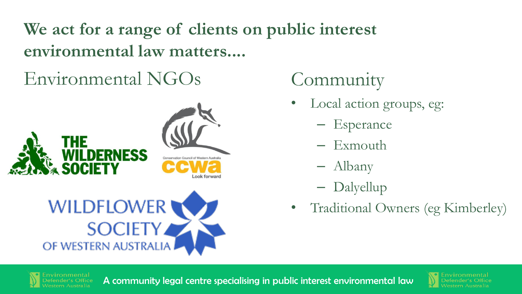**We act for a range of clients on public interest environmental law matters....**

# Environmental NGOs Community



# **WILDFLOWER SOCIETY** OF WESTERN AUSTRALIA

- Local action groups, eg:
	- Esperance
	- Exmouth
	- Albany
	- Dalyellup
- Traditional Owners (eg Kimberley)



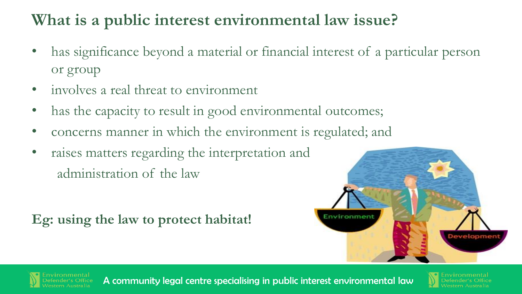#### **What is a public interest environmental law issue?**

- has significance beyond a material or financial interest of a particular person or group
- involves a real threat to environment
- has the capacity to result in good environmental outcomes;
- concerns manner in which the environment is regulated; and
- raises matters regarding the interpretation and administration of the law

**Eg: using the law to protect habitat!** 



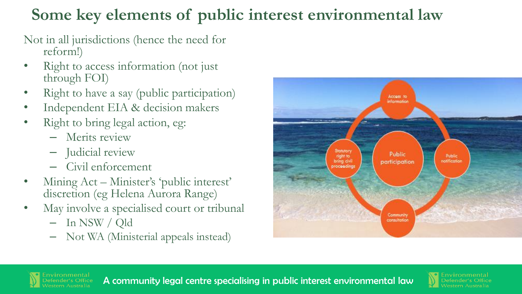## **Some key elements of public interest environmental law**

Not in all jurisdictions (hence the need for reform!)

- Right to access information (not just through FOI)
- Right to have a say (public participation)
- Independent EIA & decision makers
- Right to bring legal action, eg:
	- Merits review
	- Judicial review
	- Civil enforcement
- Mining Act Minister's 'public interest' discretion (eg Helena Aurora Range)
- May involve a specialised court or tribunal
	- In NSW / Qld
	- Not WA (Ministerial appeals instead)



vironmental<br>fender's Office **A community legal centre specialising in public interest environmental law** 

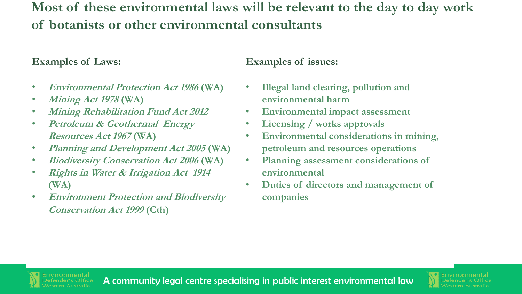#### **Most of these environmental laws will be relevant to the day to day work of botanists or other environmental consultants**

#### **Examples of Laws:**

- **Environmental Protection Act 1986 (WA)**
- **Mining Act 1978 (WA)**
- **Mining Rehabilitation Fund Act 2012**
- **Petroleum & Geothermal Energy Resources Act 1967 (WA)**
- **Planning and Development Act 2005 (WA)**
- **Biodiversity Conservation Act 2006 (WA)**
- **Rights in Water & Irrigation Act 1914 (WA)**
- **Environment Protection and Biodiversity Conservation Act 1999 (Cth)**

#### **Examples of issues:**

- **Illegal land clearing, pollution and environmental harm**
- **Environmental impact assessment**
- **Licensing / works approvals**
- **Environmental considerations in mining, petroleum and resources operations**
- **Planning assessment considerations of environmental**
- **Duties of directors and management of companies**

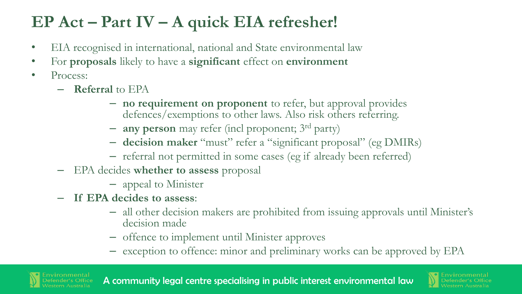## **EP Act – Part IV – A quick EIA refresher!**

- EIA recognised in international, national and State environmental law
- For **proposals** likely to have a **significant** effect on **environment**
- Process:
	- **Referral** to EPA
		- **no requirement on proponent** to refer, but approval provides defences/exemptions to other laws. Also risk others referring.
		- **any person** may refer (incl proponent; 3rd party)
		- **decision maker** "must" refer a "significant proposal" (eg DMIRs)
		- referral not permitted in some cases (eg if already been referred)
	- EPA decides **whether to assess** proposal
		- appeal to Minister
	- **If EPA decides to assess**:
		- all other decision makers are prohibited from issuing approvals until Minister's decision made
		- offence to implement until Minister approves
		- exception to offence: minor and preliminary works can be approved by EPA



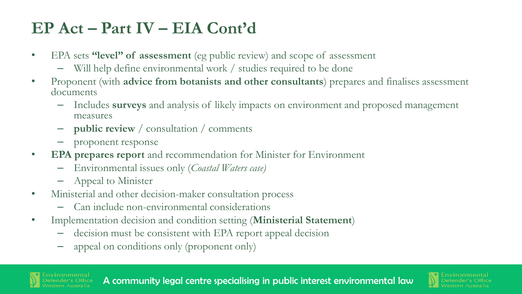#### **EP Act – Part IV – EIA Cont'd**

- EPA sets **"level" of assessment** (eg public review) and scope of assessment
	- Will help define environmental work / studies required to be done
- Proponent (with **advice from botanists and other consultants**) prepares and finalises assessment documents
	- Includes **surveys** and analysis of likely impacts on environment and proposed management measures
	- **public review** / consultation / comments
	- proponent response
- **EPA prepares report** and recommendation for Minister for Environment
	- Environmental issues only (*Coastal Waters case)*
	- Appeal to Minister
- Ministerial and other decision-maker consultation process
	- Can include non-environmental considerations
- Implementation decision and condition setting (**Ministerial Statement**)
	- decision must be consistent with EPA report appeal decision
	- appeal on conditions only (proponent only)

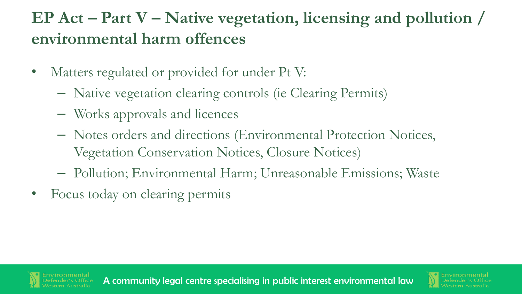## **EP Act – Part V – Native vegetation, licensing and pollution / environmental harm offences**

- Matters regulated or provided for under Pt V:
	- Native vegetation clearing controls (ie Clearing Permits)
	- Works approvals and licences
	- Notes orders and directions (Environmental Protection Notices, Vegetation Conservation Notices, Closure Notices)
	- Pollution; Environmental Harm; Unreasonable Emissions; Waste
- Focus today on clearing permits



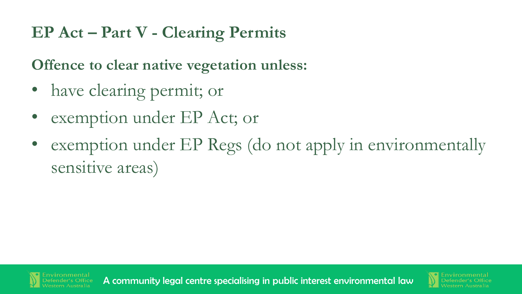#### **EP Act – Part V - Clearing Permits**

**Offence to clear native vegetation unless:**

- have clearing permit; or
- exemption under EP Act; or
- exemption under EP Regs (do not apply in environmentally sensitive areas)



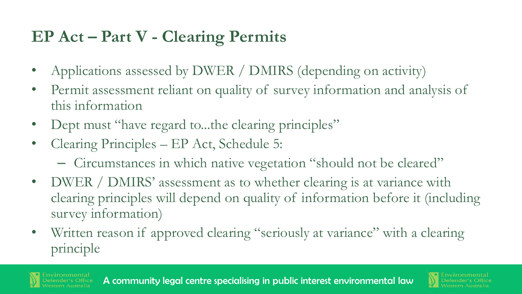#### **EP Act – Part V - Clearing Permits**

- Applications assessed by DWER / DMIRS (depending on activity)
- Permit assessment reliant on quality of survey information and analysis of this information
- Dept must "have regard to...the clearing principles"
- Clearing Principles EP Act, Schedule 5:
	- Circumstances in which native vegetation "should not be cleared"
- DWER / DMIRS' assessment as to whether clearing is at variance with clearing principles will depend on quality of information before it (including survey information)
- Written reason if approved clearing "seriously at variance" with a clearing principle

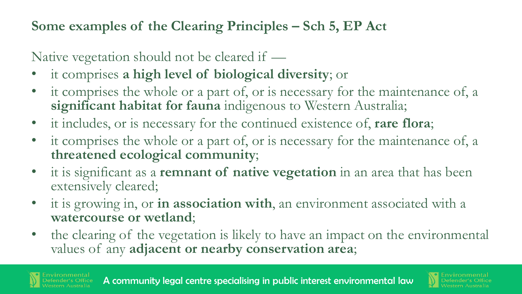#### **Some examples of the Clearing Principles – Sch 5, EP Act**

Native vegetation should not be cleared if —

- it comprises **a high level of biological diversity**; or
- it comprises the whole or a part of, or is necessary for the maintenance of, a **significant habitat for fauna** indigenous to Western Australia;
- it includes, or is necessary for the continued existence of, **rare flora**;
- it comprises the whole or a part of, or is necessary for the maintenance of, a **threatened ecological community**;
- it is significant as a **remnant of native vegetation** in an area that has been extensively cleared;
- it is growing in, or **in association with**, an environment associated with a **watercourse or wetland**;
- the clearing of the vegetation is likely to have an impact on the environmental values of any **adjacent or nearby conservation area**;

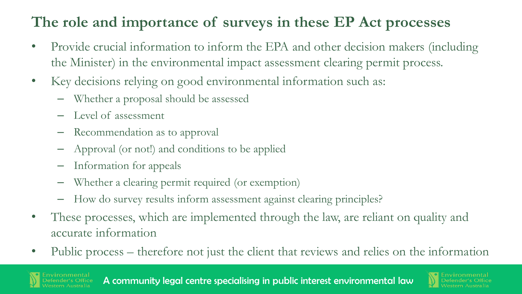#### **The role and importance of surveys in these EP Act processes**

- Provide crucial information to inform the EPA and other decision makers (including the Minister) in the environmental impact assessment clearing permit process.
- Key decisions relying on good environmental information such as:
	- Whether a proposal should be assessed
	- Level of assessment
	- Recommendation as to approval
	- Approval (or not!) and conditions to be applied
	- Information for appeals
	- Whether a clearing permit required (or exemption)
	- How do survey results inform assessment against clearing principles?
- These processes, which are implemented through the law, are reliant on quality and accurate information
- Public process therefore not just the client that reviews and relies on the information

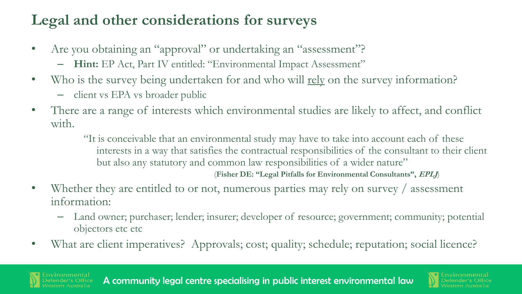#### **Legal and other considerations for surveys**

- Are you obtaining an "approval" or undertaking an "assessment"?
	- **Hint:** EP Act, Part IV entitled: "Environmental Impact Assessment"
- Who is the survey being undertaken for and who will <u>rely</u> on the survey information?
	- client vs EPA vs broader public
- There are a range of interests which environmental studies are likely to affect, and conflict with.

"It is conceivable that an environmental study may have to take into account each of these interests in a way that satisfies the contractual responsibilities of the consultant to their client but also any statutory and common law responsibilities of a wider nature"

(**Fisher DE: "Legal Pitfalls for Environmental Consultants", EPLJ**)

- Whether they are entitled to or not, numerous parties may rely on survey / assessment information:
	- Land owner; purchaser; lender; insurer; developer of resource; government; community; potential objectors etc etc
- What are client imperatives? Approvals; cost; quality; schedule; reputation; social licence?

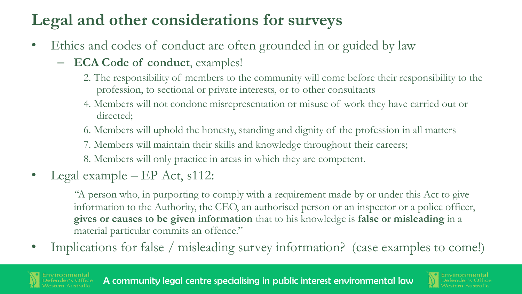## **Legal and other considerations for surveys**

- Ethics and codes of conduct are often grounded in or guided by law
	- **ECA Code of conduct**, examples!
		- 2. The responsibility of members to the community will come before their responsibility to the profession, to sectional or private interests, or to other consultants
		- 4. Members will not condone misrepresentation or misuse of work they have carried out or directed;
		- 6. Members will uphold the honesty, standing and dignity of the profession in all matters
		- 7. Members will maintain their skills and knowledge throughout their careers;
		- 8. Members will only practice in areas in which they are competent.
- Legal example EP Act, s112:

 "A person who, in purporting to comply with a requirement made by or under this Act to give information to the Authority, the CEO, an authorised person or an inspector or a police officer, **gives or causes to be given information** that to his knowledge is **false or misleading** in a material particular commits an offence."

• Implications for false / misleading survey information? (case examples to come!)

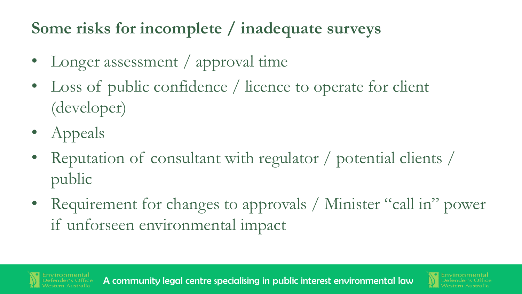#### **Some risks for incomplete / inadequate surveys**

- Longer assessment / approval time
- Loss of public confidence / licence to operate for client (developer)
- Appeals
- Reputation of consultant with regulator / potential clients / public
- Requirement for changes to approvals / Minister "call in" power if unforseen environmental impact

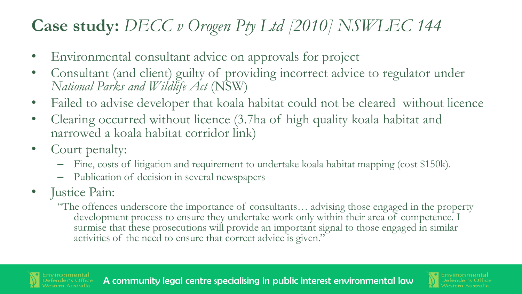## **Case study:** *DECC v Orogen Pty Ltd [2010] NSWLEC 144*

- Environmental consultant advice on approvals for project
- Consultant (and client) guilty of providing incorrect advice to regulator under *National Parks and Wildlife Act* (NSW)
- Failed to advise developer that koala habitat could not be cleared without licence
- Clearing occurred without licence (3.7ha of high quality koala habitat and narrowed a koala habitat corridor link)
- Court penalty:
	- Fine, costs of litigation and requirement to undertake koala habitat mapping (cost \$150k).
	- Publication of decision in several newspapers
- Justice Pain:
	- "The offences underscore the importance of consultants… advising those engaged in the property development process to ensure they undertake work only within their area of competence. I surmise that these prosecutions will provide an important signal to those engaged in similar activities of the need to ensure that correct advice is given."

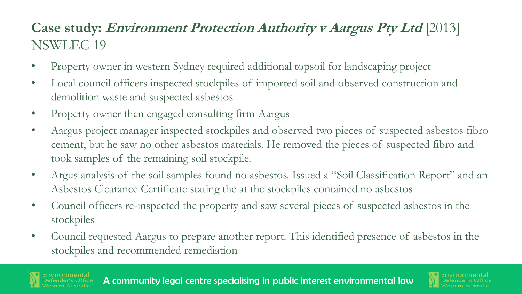#### **Case study: Environment Protection Authority v Aargus Pty Ltd** [2013] NSWLEC 19

- Property owner in western Sydney required additional topsoil for landscaping project
- Local council officers inspected stockpiles of imported soil and observed construction and demolition waste and suspected asbestos
- Property owner then engaged consulting firm Aargus
- Aargus project manager inspected stockpiles and observed two pieces of suspected asbestos fibro cement, but he saw no other asbestos materials. He removed the pieces of suspected fibro and took samples of the remaining soil stockpile.
- Argus analysis of the soil samples found no asbestos. Issued a "Soil Classification Report" and an Asbestos Clearance Certificate stating the at the stockpiles contained no asbestos
- Council officers re-inspected the property and saw several pieces of suspected asbestos in the stockpiles
- Council requested Aargus to prepare another report. This identified presence of asbestos in the stockpiles and recommended remediation

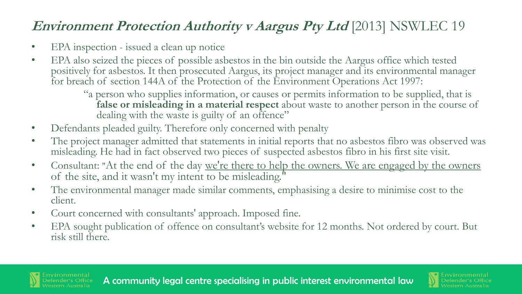#### **Environment Protection Authority v Aargus Pty Ltd** [2013] NSWLEC 19

- EPA inspection issued a clean up notice
- EPA also seized the pieces of possible asbestos in the bin outside the Aargus office which tested positively for asbestos. It then prosecuted Aargus, its project manager and its environmental manager for breach of section 144A of the Protection of the Environment Operations Act 1997:
	- "a person who supplies information, or causes or permits information to be supplied, that is **false or misleading in a material respect** about waste to another person in the course of dealing with the waste is guilty of an offence"
- Defendants pleaded guilty. Therefore only concerned with penalty
- The project manager admitted that statements in initial reports that no asbestos fibro was observed was misleading. He had in fact observed two pieces of suspected asbestos fibro in his first site visit.
- Consultant: "At the end of the day we're there to help the owners. We are engaged by the owners of the site, and it wasn't my intent to be misleading."
- The environmental manager made similar comments, emphasising a desire to minimise cost to the client.
- Court concerned with consultants' approach. Imposed fine.
- EPA sought publication of offence on consultant's website for 12 months. Not ordered by court. But risk still there.